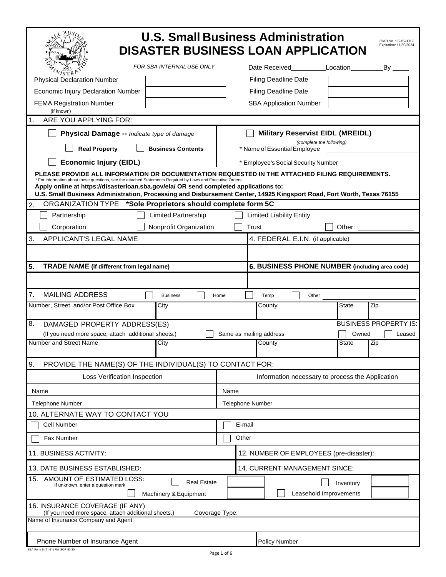| <b>U.S. Small Business Administration</b><br>OMB No.: 3245-0017<br>Expiration: 11/30/2024<br><b>DISASTER BUSINESS LOAN APPLICATION</b>                                                                                                                                                                                                                                                                                         |                                     |                                                                                                                                                                                                                               |                              |  |  |  |
|--------------------------------------------------------------------------------------------------------------------------------------------------------------------------------------------------------------------------------------------------------------------------------------------------------------------------------------------------------------------------------------------------------------------------------|-------------------------------------|-------------------------------------------------------------------------------------------------------------------------------------------------------------------------------------------------------------------------------|------------------------------|--|--|--|
| FOR SBA INTERNAL USE ONLY                                                                                                                                                                                                                                                                                                                                                                                                      | Date Received                       | Location                                                                                                                                                                                                                      | $By_$                        |  |  |  |
| $V_I$ st f<br><b>Physical Declaration Number</b>                                                                                                                                                                                                                                                                                                                                                                               | <b>Filing Deadline Date</b>         |                                                                                                                                                                                                                               |                              |  |  |  |
| Economic Injury Declaration Number                                                                                                                                                                                                                                                                                                                                                                                             | <b>Filing Deadline Date</b>         |                                                                                                                                                                                                                               |                              |  |  |  |
| <b>FEMA Registration Number</b>                                                                                                                                                                                                                                                                                                                                                                                                | <b>SBA Application Number</b>       |                                                                                                                                                                                                                               |                              |  |  |  |
| (if known)<br>ARE YOU APPLYING FOR:<br>.1.                                                                                                                                                                                                                                                                                                                                                                                     |                                     |                                                                                                                                                                                                                               |                              |  |  |  |
| Physical Damage -- Indicate type of damage                                                                                                                                                                                                                                                                                                                                                                                     |                                     |                                                                                                                                                                                                                               |                              |  |  |  |
| <b>Military Reservist EIDL (MREIDL)</b><br>(complete the following)<br><b>Real Property</b><br><b>Business Contents</b><br>* Name of Essential Employee                                                                                                                                                                                                                                                                        |                                     |                                                                                                                                                                                                                               |                              |  |  |  |
| <b>Economic Injury (EIDL)</b>                                                                                                                                                                                                                                                                                                                                                                                                  | * Employee's Social Security Number |                                                                                                                                                                                                                               |                              |  |  |  |
| PLEASE PROVIDE ALL INFORMATION OR DOCUMENTATION REQUESTED IN THE ATTACHED FILING REQUIREMENTS.<br>* For information about these questions, see the attached Statements Required by Laws and Executive Orders.<br>Apply online at https://disasterloan.sba.gov/ela/ OR send completed applications to:<br>U.S. Small Business Administration, Processing and Disbursement Center, 14925 Kingsport Road, Fort Worth, Texas 76155 |                                     |                                                                                                                                                                                                                               |                              |  |  |  |
| ORGANIZATION TYPE *Sole Proprietors should complete form 5C<br>$\overline{2}$                                                                                                                                                                                                                                                                                                                                                  |                                     |                                                                                                                                                                                                                               |                              |  |  |  |
| Partnership<br><b>Limited Partnership</b>                                                                                                                                                                                                                                                                                                                                                                                      | <b>Limited Liability Entity</b>     |                                                                                                                                                                                                                               |                              |  |  |  |
| Corporation<br>Nonprofit Organization                                                                                                                                                                                                                                                                                                                                                                                          | Trust                               | Other: when the control of the control of the control of the control of the control of the control of the control of the control of the control of the control of the control of the control of the control of the control of |                              |  |  |  |
| 3.<br><b>APPLICANT'S LEGAL NAME</b>                                                                                                                                                                                                                                                                                                                                                                                            |                                     | 4. FEDERAL E.I.N. (if applicable)                                                                                                                                                                                             |                              |  |  |  |
|                                                                                                                                                                                                                                                                                                                                                                                                                                |                                     |                                                                                                                                                                                                                               |                              |  |  |  |
| 5.<br><b>TRADE NAME</b> (if different from legal name)                                                                                                                                                                                                                                                                                                                                                                         |                                     | 6. BUSINESS PHONE NUMBER (including area code)                                                                                                                                                                                |                              |  |  |  |
|                                                                                                                                                                                                                                                                                                                                                                                                                                |                                     |                                                                                                                                                                                                                               |                              |  |  |  |
| 7.<br><b>MAILING ADDRESS</b><br><b>Business</b>                                                                                                                                                                                                                                                                                                                                                                                | Home<br>Temp                        | Other                                                                                                                                                                                                                         |                              |  |  |  |
| Number, Street, and/or Post Office Box<br>City                                                                                                                                                                                                                                                                                                                                                                                 | County                              | <b>State</b>                                                                                                                                                                                                                  | Zip                          |  |  |  |
| 8.<br>DAMAGED PROPERTY ADDRESS(ES)                                                                                                                                                                                                                                                                                                                                                                                             |                                     |                                                                                                                                                                                                                               | <b>BUSINESS PROPERTY IS:</b> |  |  |  |
| (If you need more space, attach additional sheets.)<br>Number and Street Name<br>City                                                                                                                                                                                                                                                                                                                                          | Same as mailing address<br>County   | Owned<br><b>State</b>                                                                                                                                                                                                         | Leased<br>Zip                |  |  |  |
|                                                                                                                                                                                                                                                                                                                                                                                                                                |                                     |                                                                                                                                                                                                                               |                              |  |  |  |
| 9.<br>PROVIDE THE NAME(S) OF THE INDIVIDUAL(S) TO CONTACT FOR:                                                                                                                                                                                                                                                                                                                                                                 |                                     |                                                                                                                                                                                                                               |                              |  |  |  |
| Loss Verification Inspection                                                                                                                                                                                                                                                                                                                                                                                                   |                                     | Information necessary to process the Application                                                                                                                                                                              |                              |  |  |  |
| Name                                                                                                                                                                                                                                                                                                                                                                                                                           | Name                                |                                                                                                                                                                                                                               |                              |  |  |  |
| <b>Telephone Number</b>                                                                                                                                                                                                                                                                                                                                                                                                        | <b>Telephone Number</b>             |                                                                                                                                                                                                                               |                              |  |  |  |
| 10. ALTERNATE WAY TO CONTACT YOU                                                                                                                                                                                                                                                                                                                                                                                               |                                     |                                                                                                                                                                                                                               |                              |  |  |  |
| Cell Number                                                                                                                                                                                                                                                                                                                                                                                                                    | E-mail                              |                                                                                                                                                                                                                               |                              |  |  |  |
| Fax Number                                                                                                                                                                                                                                                                                                                                                                                                                     | Other                               |                                                                                                                                                                                                                               |                              |  |  |  |
| 11. BUSINESS ACTIVITY:<br>12. NUMBER OF EMPLOYEES (pre-disaster):                                                                                                                                                                                                                                                                                                                                                              |                                     |                                                                                                                                                                                                                               |                              |  |  |  |
| 13. DATE BUSINESS ESTABLISHED:<br>14. CURRENT MANAGEMENT SINCE:                                                                                                                                                                                                                                                                                                                                                                |                                     |                                                                                                                                                                                                                               |                              |  |  |  |
| AMOUNT OF ESTIMATED LOSS:<br>15.<br><b>Real Estate</b><br>If unknown, enter a question mark                                                                                                                                                                                                                                                                                                                                    |                                     | Inventory                                                                                                                                                                                                                     |                              |  |  |  |
| Leasehold Improvements<br>Machinery & Equipment                                                                                                                                                                                                                                                                                                                                                                                |                                     |                                                                                                                                                                                                                               |                              |  |  |  |
| 16. INSURANCE COVERAGE (IF ANY)<br>(If you need more space, attach additional sheets.)<br>Coverage Type:                                                                                                                                                                                                                                                                                                                       |                                     |                                                                                                                                                                                                                               |                              |  |  |  |
| Name of Insurance Company and Agent                                                                                                                                                                                                                                                                                                                                                                                            |                                     |                                                                                                                                                                                                                               |                              |  |  |  |
| Phone Number of Insurance Agent                                                                                                                                                                                                                                                                                                                                                                                                |                                     |                                                                                                                                                                                                                               |                              |  |  |  |
|                                                                                                                                                                                                                                                                                                                                                                                                                                | <b>Policy Number</b>                |                                                                                                                                                                                                                               |                              |  |  |  |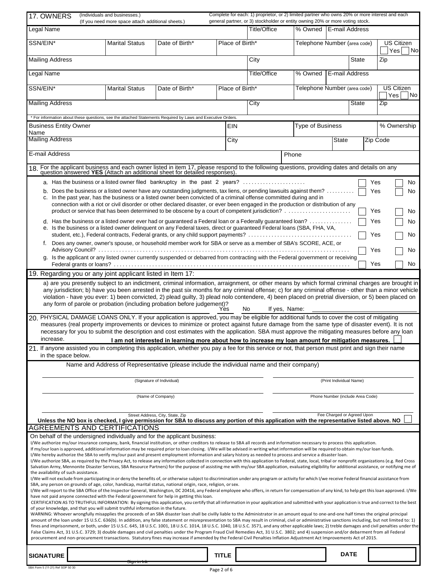| 17. OWNERS                                                                                                                                                                                                                                                                                                                                                                                                                                                                                                                                                                                                                                                                                                                                                                                                                                                                                                                                                                                                                                                                                                                                                                                                                                                                                                                                                                                                                                                                                                                                                                                                                                                                                                                                                                                                                                                                                                                                                                                                                                                                                                                                                                                                                                                                                                                                                                                                                                                                                                                                                                                                                                                                                                                                                                                                                                                                                                                                                                           | (Individuals and businesses.)<br>(If you need more space attach additional sheets.) |                                                                                           |              | Complete for each: 1) proprietor, or 2) limited partner who owns 20% or more interest and each<br>general partner, or 3) stockholder or entity owning 20% or more voting stock. |                  |                                  |              |                                |
|--------------------------------------------------------------------------------------------------------------------------------------------------------------------------------------------------------------------------------------------------------------------------------------------------------------------------------------------------------------------------------------------------------------------------------------------------------------------------------------------------------------------------------------------------------------------------------------------------------------------------------------------------------------------------------------------------------------------------------------------------------------------------------------------------------------------------------------------------------------------------------------------------------------------------------------------------------------------------------------------------------------------------------------------------------------------------------------------------------------------------------------------------------------------------------------------------------------------------------------------------------------------------------------------------------------------------------------------------------------------------------------------------------------------------------------------------------------------------------------------------------------------------------------------------------------------------------------------------------------------------------------------------------------------------------------------------------------------------------------------------------------------------------------------------------------------------------------------------------------------------------------------------------------------------------------------------------------------------------------------------------------------------------------------------------------------------------------------------------------------------------------------------------------------------------------------------------------------------------------------------------------------------------------------------------------------------------------------------------------------------------------------------------------------------------------------------------------------------------------------------------------------------------------------------------------------------------------------------------------------------------------------------------------------------------------------------------------------------------------------------------------------------------------------------------------------------------------------------------------------------------------------------------------------------------------------------------------------------------------|-------------------------------------------------------------------------------------|-------------------------------------------------------------------------------------------|--------------|---------------------------------------------------------------------------------------------------------------------------------------------------------------------------------|------------------|----------------------------------|--------------|--------------------------------|
| Legal Name                                                                                                                                                                                                                                                                                                                                                                                                                                                                                                                                                                                                                                                                                                                                                                                                                                                                                                                                                                                                                                                                                                                                                                                                                                                                                                                                                                                                                                                                                                                                                                                                                                                                                                                                                                                                                                                                                                                                                                                                                                                                                                                                                                                                                                                                                                                                                                                                                                                                                                                                                                                                                                                                                                                                                                                                                                                                                                                                                                           |                                                                                     |                                                                                           |              | Title/Office                                                                                                                                                                    |                  | % Owned   E-mail Address         |              |                                |
| SSN/EIN*                                                                                                                                                                                                                                                                                                                                                                                                                                                                                                                                                                                                                                                                                                                                                                                                                                                                                                                                                                                                                                                                                                                                                                                                                                                                                                                                                                                                                                                                                                                                                                                                                                                                                                                                                                                                                                                                                                                                                                                                                                                                                                                                                                                                                                                                                                                                                                                                                                                                                                                                                                                                                                                                                                                                                                                                                                                                                                                                                                             | <b>Marital Status</b>                                                               | Date of Birth*                                                                            |              | Place of Birth*                                                                                                                                                                 |                  | Telephone Number (area code)     |              | <b>US Citizen</b><br>Yes<br>No |
| <b>Mailing Address</b>                                                                                                                                                                                                                                                                                                                                                                                                                                                                                                                                                                                                                                                                                                                                                                                                                                                                                                                                                                                                                                                                                                                                                                                                                                                                                                                                                                                                                                                                                                                                                                                                                                                                                                                                                                                                                                                                                                                                                                                                                                                                                                                                                                                                                                                                                                                                                                                                                                                                                                                                                                                                                                                                                                                                                                                                                                                                                                                                                               |                                                                                     |                                                                                           |              | City                                                                                                                                                                            |                  |                                  | <b>State</b> | Zip                            |
| Legal Name                                                                                                                                                                                                                                                                                                                                                                                                                                                                                                                                                                                                                                                                                                                                                                                                                                                                                                                                                                                                                                                                                                                                                                                                                                                                                                                                                                                                                                                                                                                                                                                                                                                                                                                                                                                                                                                                                                                                                                                                                                                                                                                                                                                                                                                                                                                                                                                                                                                                                                                                                                                                                                                                                                                                                                                                                                                                                                                                                                           |                                                                                     |                                                                                           |              | Title/Office                                                                                                                                                                    | % Owned          | E-mail Address                   |              |                                |
| SSN/EIN*                                                                                                                                                                                                                                                                                                                                                                                                                                                                                                                                                                                                                                                                                                                                                                                                                                                                                                                                                                                                                                                                                                                                                                                                                                                                                                                                                                                                                                                                                                                                                                                                                                                                                                                                                                                                                                                                                                                                                                                                                                                                                                                                                                                                                                                                                                                                                                                                                                                                                                                                                                                                                                                                                                                                                                                                                                                                                                                                                                             | <b>Marital Status</b>                                                               | Date of Birth*                                                                            |              | Place of Birth*                                                                                                                                                                 |                  | Telephone Number (area code)     |              | <b>US Citizen</b><br>Yes<br>No |
| <b>Mailing Address</b>                                                                                                                                                                                                                                                                                                                                                                                                                                                                                                                                                                                                                                                                                                                                                                                                                                                                                                                                                                                                                                                                                                                                                                                                                                                                                                                                                                                                                                                                                                                                                                                                                                                                                                                                                                                                                                                                                                                                                                                                                                                                                                                                                                                                                                                                                                                                                                                                                                                                                                                                                                                                                                                                                                                                                                                                                                                                                                                                                               |                                                                                     |                                                                                           |              | City                                                                                                                                                                            |                  |                                  | State        | Zip                            |
| * For information about these questions, see the attached Statements Required by Laws and Executive Orders.                                                                                                                                                                                                                                                                                                                                                                                                                                                                                                                                                                                                                                                                                                                                                                                                                                                                                                                                                                                                                                                                                                                                                                                                                                                                                                                                                                                                                                                                                                                                                                                                                                                                                                                                                                                                                                                                                                                                                                                                                                                                                                                                                                                                                                                                                                                                                                                                                                                                                                                                                                                                                                                                                                                                                                                                                                                                          |                                                                                     |                                                                                           |              |                                                                                                                                                                                 |                  |                                  |              |                                |
| <b>Business Entity Owner</b><br>Name                                                                                                                                                                                                                                                                                                                                                                                                                                                                                                                                                                                                                                                                                                                                                                                                                                                                                                                                                                                                                                                                                                                                                                                                                                                                                                                                                                                                                                                                                                                                                                                                                                                                                                                                                                                                                                                                                                                                                                                                                                                                                                                                                                                                                                                                                                                                                                                                                                                                                                                                                                                                                                                                                                                                                                                                                                                                                                                                                 |                                                                                     |                                                                                           | EIN          |                                                                                                                                                                                 | Type of Business |                                  |              | % Ownership                    |
| <b>Mailing Address</b>                                                                                                                                                                                                                                                                                                                                                                                                                                                                                                                                                                                                                                                                                                                                                                                                                                                                                                                                                                                                                                                                                                                                                                                                                                                                                                                                                                                                                                                                                                                                                                                                                                                                                                                                                                                                                                                                                                                                                                                                                                                                                                                                                                                                                                                                                                                                                                                                                                                                                                                                                                                                                                                                                                                                                                                                                                                                                                                                                               |                                                                                     |                                                                                           | City         |                                                                                                                                                                                 |                  | <b>State</b>                     |              | <b>Zip Code</b>                |
| E-mail Address                                                                                                                                                                                                                                                                                                                                                                                                                                                                                                                                                                                                                                                                                                                                                                                                                                                                                                                                                                                                                                                                                                                                                                                                                                                                                                                                                                                                                                                                                                                                                                                                                                                                                                                                                                                                                                                                                                                                                                                                                                                                                                                                                                                                                                                                                                                                                                                                                                                                                                                                                                                                                                                                                                                                                                                                                                                                                                                                                                       |                                                                                     |                                                                                           |              |                                                                                                                                                                                 | Phone            |                                  |              |                                |
| 18. For the applicant business and each owner listed in item 17, please respond to the following questions, providing dates and details on any question answered YES (Attach an additional sheet for detailed responses).                                                                                                                                                                                                                                                                                                                                                                                                                                                                                                                                                                                                                                                                                                                                                                                                                                                                                                                                                                                                                                                                                                                                                                                                                                                                                                                                                                                                                                                                                                                                                                                                                                                                                                                                                                                                                                                                                                                                                                                                                                                                                                                                                                                                                                                                                                                                                                                                                                                                                                                                                                                                                                                                                                                                                            |                                                                                     |                                                                                           |              |                                                                                                                                                                                 |                  |                                  |              |                                |
| a. Has the business or a listed owner filed bankruptcy in the past 2 years?<br>Yes<br>No<br>Does the business or a listed owner have any outstanding judgments, tax liens, or pending lawsuits against them?<br>Yes<br>No<br>b.<br>In the past year, has the business or a listed owner been convicted of a criminal offense committed during and in<br>c.<br>connection with a riot or civil disorder or other declared disaster, or ever been engaged in the production or distribution of any<br>Yes<br>No<br>d. Has the business or a listed owner ever had or guaranteed a Federal loan or a Federally guaranteed loan?<br>Yes<br>No<br>Is the business or a listed owner delinguent on any Federal taxes, direct or guaranteed Federal loans (SBA, FHA, VA,<br>е.<br>student, etc.), Federal contracts, Federal grants, or any child support payments?<br>Yes<br>No<br>Does any owner, owner's spouse, or household member work for SBA or serve as a member of SBA's SCORE, ACE, or<br>Yes<br>No<br>g. Is the applicant or any listed owner currently suspended or debarred from contracting with the Federal government or receiving<br>Yes<br>No<br>19. Regarding you or any joint applicant listed in Item 17:<br>a) are you presently subject to an indictment, criminal information, arraignment, or other means by which formal criminal charges are brought in<br>any jurisdiction; b) have you been arrested in the past six months for any criminal offense; c) for any criminal offense - other than a minor vehicle<br>violation - have you ever: 1) been convicted, 2) plead guilty, 3) plead nolo contendere, 4) been placed on pretrial diversion, or 5) been placed on<br>any form of parole or probation (including probation before judgement)?<br>If yes, Name:<br>No.<br>Yes<br>20. PHYSICAL DAMAGE LOANS ONLY. If your application is approved, you may be eligible for additional funds to cover the cost of mitigating<br>measures (real property improvements or devices to minimize or protect against future damage from the same type of disaster event). It is not<br>necessary for you to submit the description and cost estimates with the application. SBA must approve the mitigating measures before any loan                                                                                                                                                                                                                                                                                                                                                                                                                                                                                                                                                                                                                                                                                                                                |                                                                                     |                                                                                           |              |                                                                                                                                                                                 |                  |                                  |              |                                |
| increase.<br>I am not interested in learning more about how to increase my loan amount for mitigation measures.<br>21. If anyone assisted you in completing this application, whether you pay a fee for this service or not, that person must print and sign their name<br>in the space below.                                                                                                                                                                                                                                                                                                                                                                                                                                                                                                                                                                                                                                                                                                                                                                                                                                                                                                                                                                                                                                                                                                                                                                                                                                                                                                                                                                                                                                                                                                                                                                                                                                                                                                                                                                                                                                                                                                                                                                                                                                                                                                                                                                                                                                                                                                                                                                                                                                                                                                                                                                                                                                                                                       |                                                                                     |                                                                                           |              |                                                                                                                                                                                 |                  |                                  |              |                                |
|                                                                                                                                                                                                                                                                                                                                                                                                                                                                                                                                                                                                                                                                                                                                                                                                                                                                                                                                                                                                                                                                                                                                                                                                                                                                                                                                                                                                                                                                                                                                                                                                                                                                                                                                                                                                                                                                                                                                                                                                                                                                                                                                                                                                                                                                                                                                                                                                                                                                                                                                                                                                                                                                                                                                                                                                                                                                                                                                                                                      |                                                                                     | Name and Address of Representative (please include the individual name and their company) |              |                                                                                                                                                                                 |                  |                                  |              |                                |
|                                                                                                                                                                                                                                                                                                                                                                                                                                                                                                                                                                                                                                                                                                                                                                                                                                                                                                                                                                                                                                                                                                                                                                                                                                                                                                                                                                                                                                                                                                                                                                                                                                                                                                                                                                                                                                                                                                                                                                                                                                                                                                                                                                                                                                                                                                                                                                                                                                                                                                                                                                                                                                                                                                                                                                                                                                                                                                                                                                                      |                                                                                     | (Signature of Individual)                                                                 |              |                                                                                                                                                                                 |                  | (Print Individual Name)          |              |                                |
|                                                                                                                                                                                                                                                                                                                                                                                                                                                                                                                                                                                                                                                                                                                                                                                                                                                                                                                                                                                                                                                                                                                                                                                                                                                                                                                                                                                                                                                                                                                                                                                                                                                                                                                                                                                                                                                                                                                                                                                                                                                                                                                                                                                                                                                                                                                                                                                                                                                                                                                                                                                                                                                                                                                                                                                                                                                                                                                                                                                      | (Name of Company)                                                                   |                                                                                           |              |                                                                                                                                                                                 |                  | Phone Number (include Area Code) |              |                                |
| Fee Charged or Agreed Upon<br>Street Address, City, State, Zip<br>Unless the NO box is checked, I give permission for SBA to discuss any portion of this application with the representative listed above. NO<br><b>AGREEMENTS AND CERTIFICATIONS</b>                                                                                                                                                                                                                                                                                                                                                                                                                                                                                                                                                                                                                                                                                                                                                                                                                                                                                                                                                                                                                                                                                                                                                                                                                                                                                                                                                                                                                                                                                                                                                                                                                                                                                                                                                                                                                                                                                                                                                                                                                                                                                                                                                                                                                                                                                                                                                                                                                                                                                                                                                                                                                                                                                                                                |                                                                                     |                                                                                           |              |                                                                                                                                                                                 |                  |                                  |              |                                |
| On behalf of the undersigned individually and for the applicant business:<br>I/We authorize my/our insurance company, bank, financial institution, or other creditors to release to SBA all records and information necessary to process this application.<br>If my/our loan is approved, additional information may be required prior to loan closing. I/We will be advised in writing what information will be required to obtain my/our loan funds.<br>I/We hereby authorize the SBA to verify my/our past and present employment information and salary history as needed to process and service a disaster loan.<br>I/We authorize SBA, as required by the Privacy Act, to release any information collected in connection with this application to Federal, state, local, tribal or nonprofit organizations (e.g. Red Cross<br>Salvation Army, Mennonite Disaster Services, SBA Resource Partners) for the purpose of assisting me with my/our SBA application, evaluating eligibility for additional assistance, or notifying me of<br>the availability of such assistance.<br>I/We will not exclude from participating in or deny the benefits of, or otherwise subject to discrimination under any program or activity for which I/we receive Federal financial assistance from<br>SBA, any person on grounds of age, color, handicap, marital status, national origin, race, religion, or sex.<br>I/We will report to the SBA Office of the Inspector General, Washington, DC 20416, any Federal employee who offers, in return for compensation of any kind, to help get this loan approved. I/We<br>have not paid anyone connected with the Federal government for help in getting this loan.<br>CERTIFICATION AS TO TRUTHFUL INFORMATION: By signing this application, you certify that all information in your application and submitted with your application is true and correct to the best<br>of your knowledge, and that you will submit truthful information in the future.<br>WARNING: Whoever wrongfully misapplies the proceeds of an SBA disaster loan shall be civilly liable to the Administrator in an amount equal to one-and-one half times the original principal<br>amount of the loan under 15 U.S.C. 636(b). In addition, any false statement or misrepresentation to SBA may result in criminal, civil or administrative sanctions including, but not limited to: 1)<br>fines and imprisonment, or both, under 15 U.S.C. 645, 18 U.S.C. 1001, 18 U.S.C. 1014, 18 U.S.C. 1040, 18 U.S.C. 3571, and any other applicable laws; 2) treble damages and civil penalties under the<br>False Claims Act, 31 U.S.C. 3729; 3) double damages and civil penalties under the Program Fraud Civil Remedies Act, 31 U.S.C. 3802; and 4) suspension and/or debarment from all Federal<br>procurement and non-procurement transactions. Statutory fines may increase if amended by the Federal Civil Penalties Inflation Adjustment Act Improvements Act of 2015. |                                                                                     |                                                                                           |              |                                                                                                                                                                                 |                  |                                  |              |                                |
| <b>SIGNATURE</b>                                                                                                                                                                                                                                                                                                                                                                                                                                                                                                                                                                                                                                                                                                                                                                                                                                                                                                                                                                                                                                                                                                                                                                                                                                                                                                                                                                                                                                                                                                                                                                                                                                                                                                                                                                                                                                                                                                                                                                                                                                                                                                                                                                                                                                                                                                                                                                                                                                                                                                                                                                                                                                                                                                                                                                                                                                                                                                                                                                     | 21 GHT 111 1110                                                                     |                                                                                           | <b>TITLE</b> |                                                                                                                                                                                 |                  | <b>DATE</b>                      |              |                                |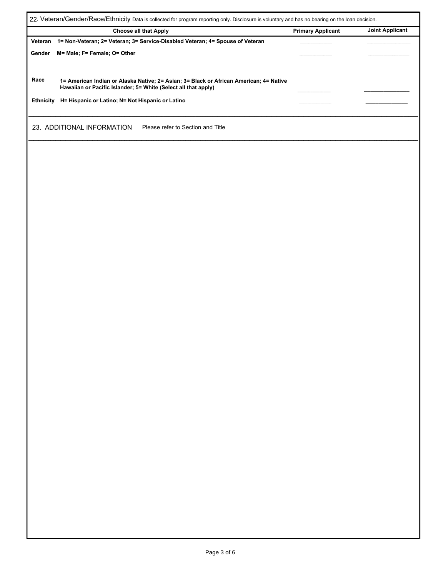| 22. Veteran/Gender/Race/Ethnicity Data is collected for program reporting only. Disclosure is voluntary and has no bearing on the loan decision. |                                                                                                                                                          |                          |                        |  |  |  |
|--------------------------------------------------------------------------------------------------------------------------------------------------|----------------------------------------------------------------------------------------------------------------------------------------------------------|--------------------------|------------------------|--|--|--|
|                                                                                                                                                  | <b>Choose all that Apply</b>                                                                                                                             | <b>Primary Applicant</b> | <b>Joint Applicant</b> |  |  |  |
| Veteran                                                                                                                                          | 1= Non-Veteran; 2= Veteran; 3= Service-Disabled Veteran; 4= Spouse of Veteran                                                                            |                          |                        |  |  |  |
| Gender                                                                                                                                           | M= Male; F= Female; O= Other                                                                                                                             |                          |                        |  |  |  |
| Race                                                                                                                                             | 1= American Indian or Alaska Native; 2= Asian; 3= Black or African American; 4= Native<br>Hawaiian or Pacific Islander; 5= White (Select all that apply) |                          |                        |  |  |  |
| Ethnicity                                                                                                                                        | H= Hispanic or Latino; N= Not Hispanic or Latino                                                                                                         |                          |                        |  |  |  |
|                                                                                                                                                  | 23. ADDITIONAL INFORMATION<br>Please refer to Section and Title                                                                                          |                          |                        |  |  |  |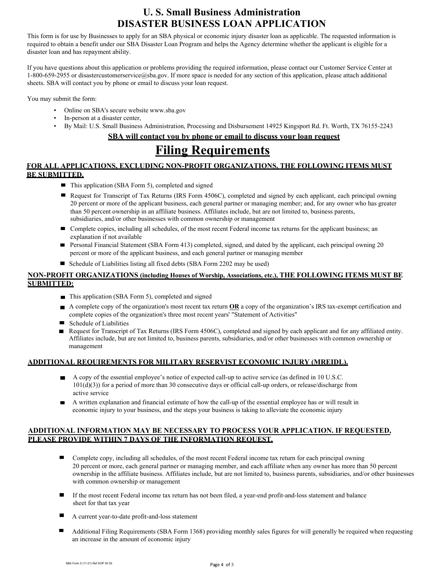## **U. S. Small Business Administration DISASTER BUSINESS LOAN APPLICATION**

This form is for use by Businesses to apply for an SBA physical or economic injury disaster loan as applicable. The requested information is required to obtain a benefit under our SBA Disaster Loan Program and helps the Agency determine whether the applicant is eligible for a disaster loan and has repayment ability.

If you have questions about this application or problems providing the required information, please contact our Customer Service Center at 1-800-659-2955 or [disastercustomerservice@sba.gov.](mailto:disastercustomerservice@sba.gov) If more space is needed for any section of this application, please attach additional sheets. SBA will contact you by phone or email to discuss your loan request.

You may submit the form:

- Online on SBA's secure website [www.sba.gov](http://www.sba.gov/)
- In-person at a disaster center,
- By Mail: U.S. Small Business Administration, Processing and Disbursement 14925 Kingsport Rd. Ft. Worth, TX 76155-2243

## **SBA will contact you by phone or email to discuss your loan request**

# **Filing Requirements**

## **FOR ALL APPLICATIONS, EXCLUDING NON-PROFIT ORGANIZATIONS, THE FOLLOWING ITEMS MUST BE SUBMITTED.**

- This application (SBA Form 5), completed and signed
- Request for Transcript of Tax Returns (IRS Form 4506C), completed and signed by each applicant, each principal owning 20 percent or more of the applicant business, each general partner or managing member; and, for any owner who has greater than 50 percent ownership in an affiliate business. Affiliates include, but are not limited to, business parents, subsidiaries, and/or other businesses with common ownership or management
- Complete copies, including all schedules, of the most recent Federal income tax returns for the applicant business; an explanation if not available
- Personal Financial Statement (SBA Form 413) completed, signed, and dated by the applicant, each principal owning 20 percent or more of the applicant business, and each general partner or managing member
- Schedule of Liabilities listing all fixed debts (SBA Form 2202 may be used)

## **NON-PROFIT ORGANIZATIONS (including Houses of Worship, Associations, etc.), THE FOLLOWING ITEMS MUST BE SUBMITTED:**

- This application (SBA Form 5), completed and signed
- A complete copy of the organization's most recent tax return **OR** a copy of the organization's IRS tax-exempt certification and complete copies of the organization's three most recent years' "Statement of Activities"
- Schedule of Liabilities
- Request for Transcript of Tax Returns (IRS Form 4506C), completed and signed by each applicant and for any affiliated entity. Affiliates include, but are not limited to, business parents, subsidiaries, and/or other businesses with common ownership or management

## **ADDITIONAL REQUIREMENTS FOR MILITARY RESERVIST ECONOMIC INJURY (MREIDL).**

- A copy of the essential employee's notice of expected call-up to active service (as defined in 10 U.S.C. 101(d)(3)) for a period of more than 30 consecutive days or official call-up orders, or release/discharge from active service
- A written explanation and financial estimate of how the call-up of the essential employee has or will result in economic injury to your business, and the steps your business is taking to alleviate the economic injury

### **ADDITIONAL INFORMATION MAY BE NECESSARY TO PROCESS YOUR APPLICATION. IF REQUESTED, PLEASE PROVIDE WITHIN 7 DAYS OF THE INFORMATION REQUEST.**

- Complete copy, including all schedules, of the most recent Federal income tax return for each principal owning 20 percent or more, each general partner or managing member, and each affiliate when any owner has more than 50 percent ownership in the affiliate business. Affiliates include, but are not limited to, business parents, subsidiaries, and/or other businesses with common ownership or management
- $\blacksquare$ If the most recent Federal income tax return has not been filed, a year-end profit-and-loss statement and balance sheet for that tax year
- A current year-to-date profit-and-loss statement
- Additional Filing Requirements (SBA Form 1368) providing monthly sales figures for will generally be required when requesting an increase in the amount of economic injury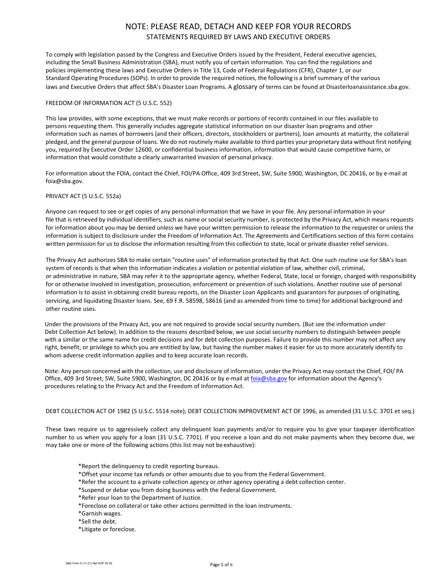## NOTE: PLEASE READ, DETACH AND KEEP FOR YOUR RECORDS STATEMENTS REQUIRED BY LAWS AND EXECUTIVE ORDERS

To comply with legislation passed by the Congress and Executive Orders issued by the President, Federal executive agencies, including the Small Business Administration (SBA), must notify you of certain information. You can find the regulations and policies implementing these laws and Executive Orders in Title 13, Code of Federal Regulations (CFR), Chapter 1, or our Standard Operating Procedures(SOPs). In order to provide the required notices, the following is a brief summary of the various laws and Executive Orders that affect SBA's Disaster Loan Programs. A glossary of terms can be found at Disasterloanassistance.sba.gov.

#### FREEDOM OF INFORMATION ACT (5 U.S.C. 552)

This law provides, with some exceptions, that we must make records or portions of records contained in our files available to persons requesting them. This generally includes aggregate statistical information on our disaster loan programs and other information such as names of borrowers (and their officers, directors, stockholders or partners), loan amounts at maturity, the collateral pledged, and the general purpose of loans. We do not routinely make available to third parties your proprietary data without first notifying you, required by Executive Order 12600, or confidential business information, information that would cause competitive harm, or information that would constitute a clearly unwarranted invasion of personal privacy.

For information about the FOIA, contact the Chief, FOI/PA Office, 409 3rd Street, SW, Suite 5900, Washington, DC 20416, or by e-mail at [foia@sba.gov.](mailto:foia@sba.gov)

#### PRIVACY ACT (5 U.S.C. 552a)

Anyone can request to see or get copies of any personal information that we have in your file. Any personal information in your file that is retrieved by individual identifiers, such as name or social security number, is protected by the Privacy Act, which means requests for information about you may be denied unless we have your written permission to release the information to the requester or unless the information is subject to disclosure under the Freedom of Information Act. The Agreements and Certifications section of this form contains written permission for us to disclose the information resulting from this collection to state, local or private disaster relief services.

The Privacy Act authorizes SBA to make certain "routine uses" of information protected by that Act. One such routine use for SBA's loan system of records is that when this information indicates a violation or potential violation of law, whether civil, criminal, or administrative in nature, SBA may refer it to the appropriate agency, whether Federal, State, local or foreign, charged with responsibility for or otherwise involved in investigation, prosecution, enforcement or prevention of such violations. Another routine use of personal information is to assist in obtaining credit bureau reports, on the Disaster Loan Applicants and guarantors for purposes of originating, servicing, and liquidating Disaster loans. See, 69 F.R. 58598, 58616 (and as amended from time to time) for additional background and other routine uses.

Under the provisions of the Privacy Act, you are not required to provide social security numbers. (But see the information under Debt Collection Act below). In addition to the reasons described below, we use social security numbers to distinguish between people with a similar or the same name for credit decisions and for debt collection purposes. Failure to provide this number may not affect any right, benefit, or privilege to which you are entitled by law, but having the number makes it easier for us to more accurately identify to whom adverse credit information applies and to keep accurate loan records.

Note: Any person concerned with the collection, use and disclosure of information, under the Privacy Act may contact the Chief, FOI/ PA Office, 409 3rd Street, SW, Suite 5900, Washington, DC 20416 or by e-mail a[t foia@sba.gov](mailto:foia@sba.gov) for information about the Agency's procedures relating to the Privacy Act and the Freedom of Information Act.

#### DEBT COLLECTION ACT OF 1982 (5 U.S.C. 5514 note); DEBT COLLECTION IMPROVEMENT ACT OF 1996, as amended (31 U.S.C. 3701 et seq.)

These laws require us to aggressively collect any delinquent loan payments and/or to require you to give your taxpayer identification number to us when you apply for a loan (31 U.S.C. 7701). If you receive a loan and do not make payments when they become due, we may take one or more of the following actions (this list may not be exhaustive):

- \*Report the delinquency to credit reporting bureaus.
- \*Offset your income tax refunds or other amounts due to you from the Federal Government.
- \*Refer the account to a private collection agency or other agency operating a debt collection center.
- \*Suspend or debar you from doing business with the Federal Government.
- \*Refer your loan to the Department of Justice.
- \*Foreclose on collateral or take other actions permitted in the loan instruments.
- \*Garnish wages.
- \*Sell the debt.
- \*Litigate or foreclose.